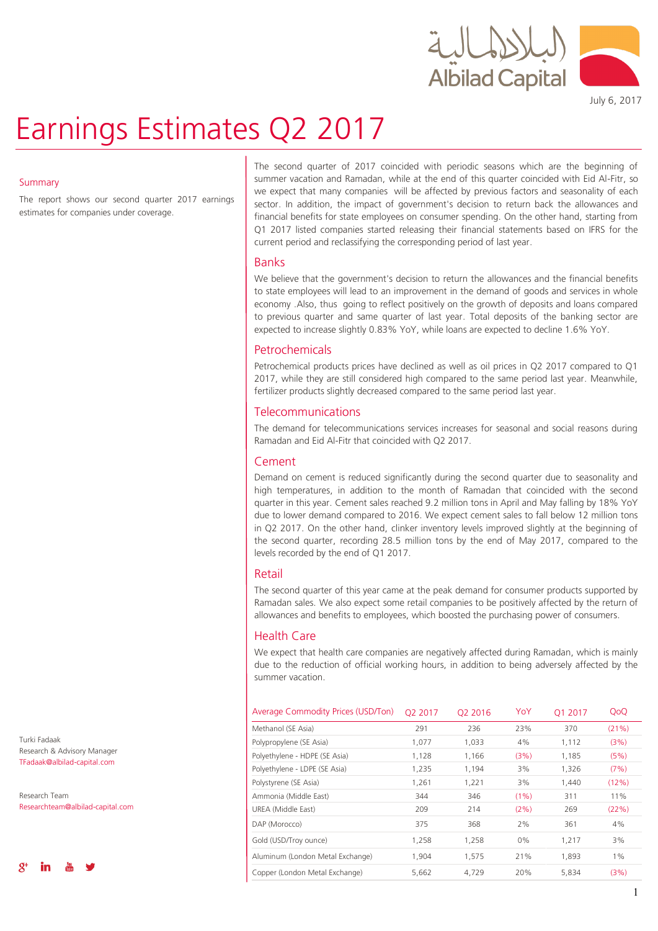

# Earnings Estimates Q2 2017

July 6, 2017

#### **Summary**

The report shows our second quarter 2017 earnings estimates for companies under coverage.

The second quarter of 2017 coincided with periodic seasons which are the beginning of summer vacation and Ramadan, while at the end of this quarter coincided with Eid Al-Fitr, so we expect that many companies will be affected by previous factors and seasonality of each sector. In addition, the impact of government's decision to return back the allowances and financial benefits for state employees on consumer spending. On the other hand, starting from Q1 2017 listed companies started releasing their financial statements based on IFRS for the current period and reclassifying the corresponding period of last year.

### Banks

We believe that the government's decision to return the allowances and the financial benefits to state employees will lead to an improvement in the demand of goods and services in whole economy .Also, thus going to reflect positively on the growth of deposits and loans compared to previous quarter and same quarter of last year. Total deposits of the banking sector are expected to increase slightly 0.83% YoY, while loans are expected to decline 1.6% YoY.

### Petrochemicals

Petrochemical products prices have declined as well as oil prices in Q2 2017 compared to Q1 2017, while they are still considered high compared to the same period last year. Meanwhile, fertilizer products slightly decreased compared to the same period last year.

## Telecommunications

The demand for telecommunications services increases for seasonal and social reasons during Ramadan and Eid Al-Fitr that coincided with Q2 2017.

## Cement

Demand on cement is reduced significantly during the second quarter due to seasonality and high temperatures, in addition to the month of Ramadan that coincided with the second quarter in this year. Cement sales reached 9.2 million tons in April and May falling by 18% YoY due to lower demand compared to 2016. We expect cement sales to fall below 12 million tons in Q2 2017. On the other hand, clinker inventory levels improved slightly at the beginning of the second quarter, recording 28.5 million tons by the end of May 2017, compared to the levels recorded by the end of Q1 2017.

## Retail

The second quarter of this year came at the peak demand for consumer products supported by Ramadan sales. We also expect some retail companies to be positively affected by the return of allowances and benefits to employees, which boosted the purchasing power of consumers.

## Health Care

We expect that health care companies are negatively affected during Ramadan, which is mainly due to the reduction of official working hours, in addition to being adversely affected by the summer vacation.

| Average Commodity Prices (USD/Ton) | O <sub>2</sub> 2017 | O <sub>2</sub> 2016 | YoY     | O1 2017 | QoQ   |
|------------------------------------|---------------------|---------------------|---------|---------|-------|
| Methanol (SE Asia)                 | 291                 | 236                 | 23%     | 370     | (21%) |
| Polypropylene (SE Asia)            | 1,077               | 1,033               | 4%      | 1,112   | (3%)  |
| Polyethylene - HDPE (SE Asia)      | 1.128               | 1,166               | (3%)    | 1,185   | (5%)  |
| Polyethylene - LDPE (SE Asia)      | 1,235               | 1,194               | 3%      | 1,326   | (7%)  |
| Polystyrene (SE Asia)              | 1,261               | 1,221               | 3%      | 1,440   | (12%) |
| Ammonia (Middle East)              | 344                 | 346                 | $(1\%)$ | 311     | 11%   |
| UREA (Middle East)                 | 209                 | 214                 | (2%)    | 269     | (22%) |
| DAP (Morocco)                      | 375                 | 368                 | 2%      | 361     | 4%    |
| Gold (USD/Troy ounce)              | 1,258               | 1,258               | 0%      | 1,217   | 3%    |
| Aluminum (London Metal Exchange)   | 1,904               | 1,575               | 21%     | 1,893   | $1\%$ |
| Copper (London Metal Exchange)     | 5,662               | 4,729               | 20%     | 5,834   | (3%)  |

Turki Fadaak Research & Advisory Manager TFadaak@albilad-capital.com

Research Team Researchteam@albilad-capital.com

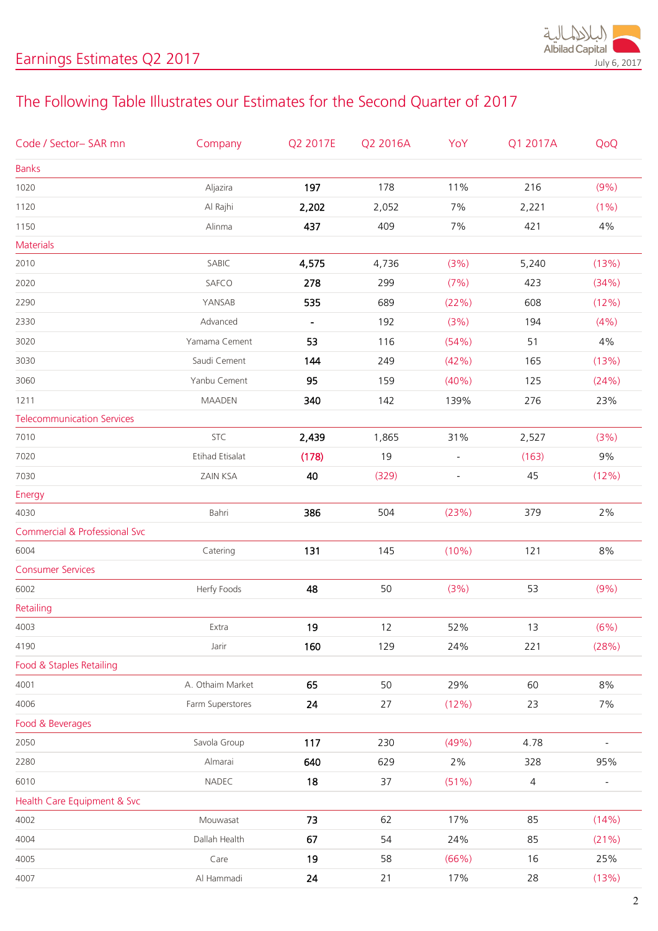

## The Following Table Illustrates our Estimates for the Second Quarter of 2017

| Code / Sector- SAR mn                    | Company          | Q2 2017E                 | Q2 2016A | YoY                      | Q1 2017A       | QoQ                      |
|------------------------------------------|------------------|--------------------------|----------|--------------------------|----------------|--------------------------|
| <b>Banks</b>                             |                  |                          |          |                          |                |                          |
| 1020                                     | Aljazira         | 197                      | 178      | 11%                      | 216            | (9% )                    |
| 1120                                     | Al Rajhi         | 2,202                    | 2,052    | 7%                       | 2,221          | $(1\%)$                  |
| 1150                                     | Alinma           | 437                      | 409      | 7%                       | 421            | 4%                       |
| <b>Materials</b>                         |                  |                          |          |                          |                |                          |
| 2010                                     | SABIC            | 4,575                    | 4,736    | (3%)                     | 5,240          | (13%)                    |
| 2020                                     | SAFCO            | 278                      | 299      | (7%)                     | 423            | (34%)                    |
| 2290                                     | YANSAB           | 535                      | 689      | (22%)                    | 608            | (12%)                    |
| 2330                                     | Advanced         | $\overline{\phantom{a}}$ | 192      | (3%)                     | 194            | (4% )                    |
| 3020                                     | Yamama Cement    | 53                       | 116      | (54%)                    | 51             | 4%                       |
| 3030                                     | Saudi Cement     | 144                      | 249      | (42%)                    | 165            | (13%)                    |
| 3060                                     | Yanbu Cement     | 95                       | 159      | (40%)                    | 125            | (24%)                    |
| 1211                                     | <b>MAADEN</b>    | 340                      | 142      | 139%                     | 276            | 23%                      |
| <b>Telecommunication Services</b>        |                  |                          |          |                          |                |                          |
| 7010                                     | STC              | 2,439                    | 1,865    | 31%                      | 2,527          | (3%)                     |
| 7020                                     | Etihad Etisalat  | (178)                    | 19       | $\overline{\phantom{a}}$ | (163)          | 9%                       |
| 7030                                     | ZAIN KSA         | 40                       | (329)    | $\overline{\phantom{m}}$ | 45             | (12%)                    |
| Energy                                   |                  |                          |          |                          |                |                          |
| 4030                                     | Bahri            | 386                      | 504      | (23%)                    | 379            | 2%                       |
| <b>Commercial &amp; Professional Svc</b> |                  |                          |          |                          |                |                          |
| 6004                                     | Catering         | 131                      | 145      | (10%)                    | 121            | 8%                       |
| <b>Consumer Services</b>                 |                  |                          |          |                          |                |                          |
| 6002                                     | Herfy Foods      | 48                       | 50       | (3%)                     | 53             | (9%)                     |
| Retailing                                |                  |                          |          |                          |                |                          |
| 4003                                     | Extra            | 19                       | 12       | 52%                      | 13             | (6%)                     |
| 4190                                     | Jarir            | 160                      | 129      | 24%                      | 221            | (28%)                    |
| Food & Staples Retailing                 |                  |                          |          |                          |                |                          |
| 4001                                     | A. Othaim Market | 65                       | 50       | 29%                      | 60             | 8%                       |
| 4006                                     | Farm Superstores | 24                       | 27       | (12%)                    | 23             | 7%                       |
| Food & Beverages                         |                  |                          |          |                          |                |                          |
| 2050                                     | Savola Group     | 117                      | 230      | (49%)                    | 4.78           | $\blacksquare$           |
| 2280                                     | Almarai          | 640                      | 629      | 2%                       | 328            | 95%                      |
| 6010                                     | NADEC            | 18                       | 37       | (51%)                    | $\overline{4}$ | $\overline{\phantom{a}}$ |
| Health Care Equipment & Svc              |                  |                          |          |                          |                |                          |
| 4002                                     | Mouwasat         | 73                       | 62       | 17%                      | 85             | (14% )                   |
| 4004                                     | Dallah Health    | 67                       | 54       | 24%                      | 85             | (21%)                    |
| 4005                                     | Care             | 19                       | 58       | (66%)                    | 16             | 25%                      |
| 4007                                     | Al Hammadi       | 24                       | 21       | 17%                      | 28             | (13%)                    |
|                                          |                  |                          |          |                          |                |                          |